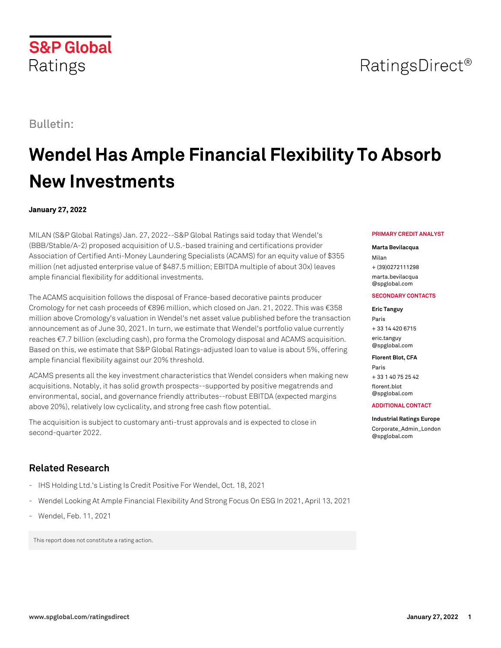# Bulletin:

Ratings

**S&P Global** 

# **Wendel Has Ample Financial Flexibility To Absorb New Investments**

# **January 27, 2022**

MILAN (S&P Global Ratings) Jan. 27, 2022--S&P Global Ratings said today that Wendel's (BBB/Stable/A-2) proposed acquisition of U.S.-based training and certifications provider Association of Certified Anti-Money Laundering Specialists (ACAMS) for an equity value of \$355 million (net adjusted enterprise value of \$487.5 million; EBITDA multiple of about 30x) leaves ample financial flexibility for additional investments.

The ACAMS acquisition follows the disposal of France-based decorative paints producer Cromology for net cash proceeds of €896 million, which closed on Jan. 21, 2022. This was €358 million above Cromology's valuation in Wendel's net asset value published before the transaction announcement as of June 30, 2021. In turn, we estimate that Wendel's portfolio value currently reaches €7.7 billion (excluding cash), pro forma the Cromology disposal and ACAMS acquisition. Based on this, we estimate that S&P Global Ratings-adjusted loan to value is about 5%, offering ample financial flexibility against our 20% threshold.

ACAMS presents all the key investment characteristics that Wendel considers when making new acquisitions. Notably, it has solid growth prospects--supported by positive megatrends and environmental, social, and governance friendly attributes--robust EBITDA (expected margins above 20%), relatively low cyclicality, and strong free cash flow potential.

The acquisition is subject to customary anti-trust approvals and is expected to close in second-quarter 2022.

# **Related Research**

- IHS Holding Ltd.'s Listing Is Credit Positive For Wendel, Oct. 18, 2021
- Wendel Looking At Ample Financial Flexibility And Strong Focus On ESG In 2021, April 13, 2021
- Wendel, Feb. 11, 2021

This report does not constitute a rating action.

#### **PRIMARY CREDIT ANALYST**

RatingsDirect<sup>®</sup>

### **Marta Bevilacqua**

Milan + (39)0272111298 [marta.bevilacqua](mailto: marta.bevilacqua@spglobal.com) [@spglobal.com](mailto: marta.bevilacqua@spglobal.com)

## **SECONDARY CONTACTS**

**Eric Tanguy** Paris + 33 14 420 6715 [eric.tanguy](mailto: eric.tanguy@spglobal.com) [@spglobal.com](mailto: eric.tanguy@spglobal.com)

**Florent Blot, CFA**

Paris + 33 1 40 75 25 42 [florent.blot](mailto: florent.blot@spglobal.com) [@spglobal.com](mailto: florent.blot@spglobal.com)

#### **ADDITIONAL CONTACT**

**Industrial Ratings Europe**

[Corporate\\_Admin\\_London](mailto: Corporate_Admin_London@spglobal.com) [@spglobal.com](mailto: Corporate_Admin_London@spglobal.com)